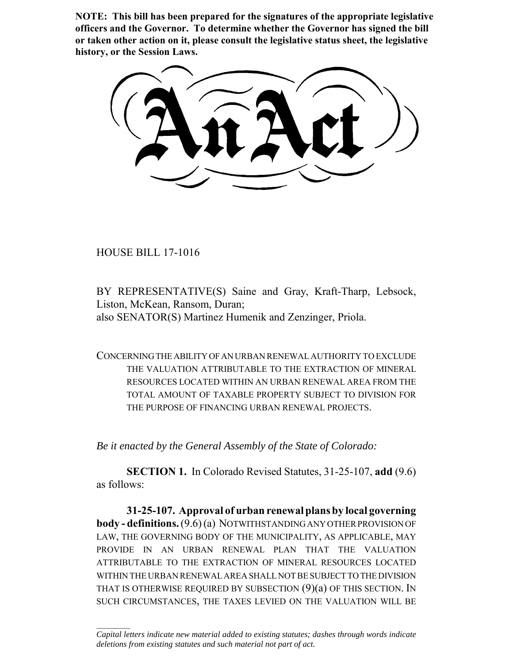**NOTE: This bill has been prepared for the signatures of the appropriate legislative officers and the Governor. To determine whether the Governor has signed the bill or taken other action on it, please consult the legislative status sheet, the legislative history, or the Session Laws.**

HOUSE BILL 17-1016

 $\frac{1}{2}$ 

BY REPRESENTATIVE(S) Saine and Gray, Kraft-Tharp, Lebsock, Liston, McKean, Ransom, Duran; also SENATOR(S) Martinez Humenik and Zenzinger, Priola.

CONCERNING THE ABILITY OF AN URBAN RENEWAL AUTHORITY TO EXCLUDE THE VALUATION ATTRIBUTABLE TO THE EXTRACTION OF MINERAL RESOURCES LOCATED WITHIN AN URBAN RENEWAL AREA FROM THE TOTAL AMOUNT OF TAXABLE PROPERTY SUBJECT TO DIVISION FOR THE PURPOSE OF FINANCING URBAN RENEWAL PROJECTS.

*Be it enacted by the General Assembly of the State of Colorado:*

**SECTION 1.** In Colorado Revised Statutes, 31-25-107, **add** (9.6) as follows:

**31-25-107. Approval of urban renewal plans by local governing body - definitions.** (9.6) (a) NOTWITHSTANDING ANY OTHER PROVISION OF LAW, THE GOVERNING BODY OF THE MUNICIPALITY, AS APPLICABLE, MAY PROVIDE IN AN URBAN RENEWAL PLAN THAT THE VALUATION ATTRIBUTABLE TO THE EXTRACTION OF MINERAL RESOURCES LOCATED WITHIN THE URBAN RENEWAL AREA SHALL NOT BE SUBJECT TO THE DIVISION THAT IS OTHERWISE REQUIRED BY SUBSECTION (9)(a) OF THIS SECTION. IN SUCH CIRCUMSTANCES, THE TAXES LEVIED ON THE VALUATION WILL BE

*Capital letters indicate new material added to existing statutes; dashes through words indicate deletions from existing statutes and such material not part of act.*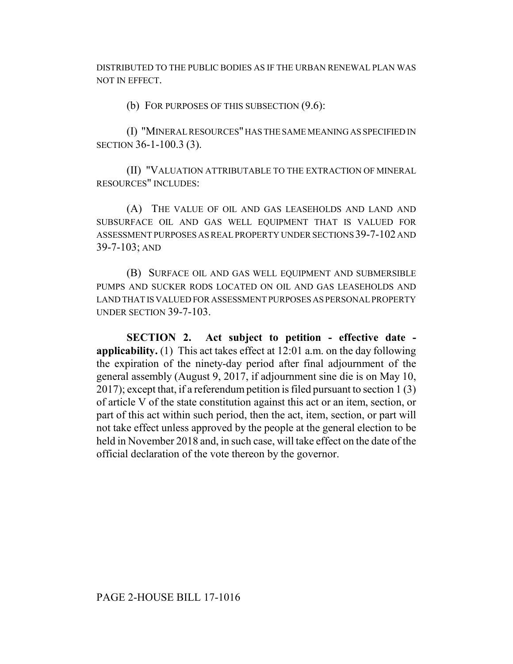DISTRIBUTED TO THE PUBLIC BODIES AS IF THE URBAN RENEWAL PLAN WAS NOT IN EFFECT.

(b) FOR PURPOSES OF THIS SUBSECTION (9.6):

(I) "MINERAL RESOURCES" HAS THE SAME MEANING AS SPECIFIED IN SECTION 36-1-100.3 (3).

(II) "VALUATION ATTRIBUTABLE TO THE EXTRACTION OF MINERAL RESOURCES" INCLUDES:

(A) THE VALUE OF OIL AND GAS LEASEHOLDS AND LAND AND SUBSURFACE OIL AND GAS WELL EQUIPMENT THAT IS VALUED FOR ASSESSMENT PURPOSES AS REAL PROPERTY UNDER SECTIONS 39-7-102 AND 39-7-103; AND

(B) SURFACE OIL AND GAS WELL EQUIPMENT AND SUBMERSIBLE PUMPS AND SUCKER RODS LOCATED ON OIL AND GAS LEASEHOLDS AND LAND THAT IS VALUED FOR ASSESSMENT PURPOSES AS PERSONAL PROPERTY UNDER SECTION 39-7-103.

**SECTION 2. Act subject to petition - effective date applicability.** (1) This act takes effect at 12:01 a.m. on the day following the expiration of the ninety-day period after final adjournment of the general assembly (August 9, 2017, if adjournment sine die is on May 10, 2017); except that, if a referendum petition is filed pursuant to section 1 (3) of article V of the state constitution against this act or an item, section, or part of this act within such period, then the act, item, section, or part will not take effect unless approved by the people at the general election to be held in November 2018 and, in such case, will take effect on the date of the official declaration of the vote thereon by the governor.